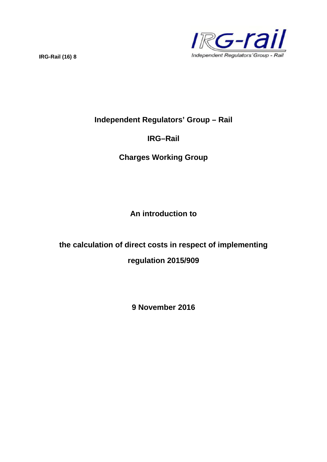

# **Independent Regulators' Group – Rail**

# **IRG–Rail**

# **Charges Working Group**

**An introduction to**

# **the calculation of direct costs in respect of implementing regulation 2015/909**

**9 November 2016**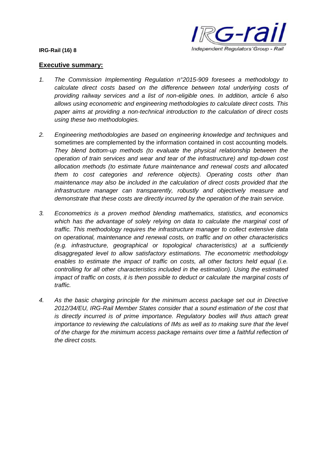

#### **Executive summary:**

- *1. The Commission Implementing Regulation n°2015-909 foresees a methodology to calculate direct costs based on the difference between total underlying costs of providing railway services and a list of non-eligible ones. In addition, article 6 also allows using econometric and engineering methodologies to calculate direct costs. This paper aims at providing a non-technical introduction to the calculation of direct costs using these two methodologies.*
- *2. Engineering methodologies are based on engineering knowledge and techniques* and sometimes are complemented by the information contained in cost accounting models*. They blend bottom-up methods (to evaluate the physical relationship between the operation of train services and wear and tear of the infrastructure) and top-down cost allocation methods (to estimate future maintenance and renewal costs and allocated them to cost categories and reference objects). Operating costs other than maintenance may also be included in the calculation of direct costs provided that the infrastructure manager can transparently, robustly and objectively measure and demonstrate that these costs are directly incurred by the operation of the train service.*
- *3. Econometrics is a proven method blending mathematics, statistics, and economics which has the advantage of solely relying on data to calculate the marginal cost of traffic. This methodology requires the infrastructure manager to collect extensive data on operational, maintenance and renewal costs, on traffic and on other characteristics (e.g. infrastructure, geographical or topological characteristics) at a sufficiently disaggregated level to allow satisfactory estimations. The econometric methodology enables to estimate the impact of traffic on costs, all other factors held equal (i.e. controlling for all other characteristics included in the estimation). Using the estimated impact of traffic on costs, it is then possible to deduct or calculate the marginal costs of traffic.*
- *4. As the basic charging principle for the minimum access package set out in Directive 2012/34/EU, IRG-Rail Member States consider that a sound estimation of the cost that is directly incurred is of prime importance. Regulatory bodies will thus attach great importance to reviewing the calculations of IMs as well as to making sure that the level of the charge for the minimum access package remains over time a faithful reflection of the direct costs.*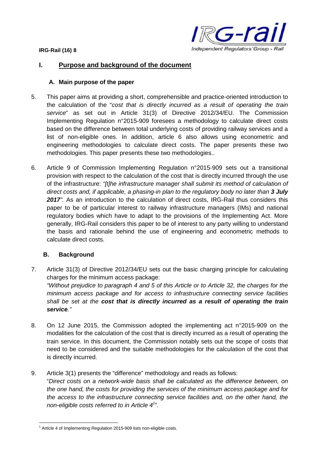

#### **I. Purpose and background of the document**

#### **A. Main purpose of the paper**

- 5. This paper aims at providing a short, comprehensible and practice-oriented introduction to the calculation of the "*cost that is directly incurred as a result of operating the train service*" as set out in Article 31(3) of Directive 2012/34/EU. The Commission Implementing Regulation n°2015-909 foresees a methodology to calculate direct costs based on the difference between total underlying costs of providing railway services and a list of non-eligible ones. In addition, article 6 also allows using econometric and engineering methodologies to calculate direct costs. The paper presents these two methodologies. This paper presents these two methodologies..
- 6. Article 9 of Commission Implementing Regulation n°2015-909 sets out a transitional provision with respect to the calculation of the cost that is directly incurred through the use of the infrastructure: *"[t]he infrastructure manager shall submit its method of calculation of direct costs and, if applicable, a phasing-in plan to the regulatory body no later than 3 July 2017".* As an introduction to the calculation of direct costs, IRG-Rail thus considers this paper to be of particular interest to railway infrastructure managers (IMs) and national regulatory bodies which have to adapt to the provisions of the Implementing Act. More generally, IRG-Rail considers this paper to be of interest to any party willing to understand the basis and rationale behind the use of engineering and econometric methods to calculate direct costs.

#### **B. Background**

- 7. Article 31(3) of Directive 2012/34/EU sets out the basic charging principle for calculating charges for the minimum access package: *"Without prejudice to paragraph 4 and 5 of this Article or to Article 32, the charges for the minimum access package and for access to infrastructure connecting service facilities shall be set at the cost that is directly incurred as a result of operating the train service."*
- 8. On 12 June 2015, the Commission adopted the implementing act n°2015-909 on the modalities for the calculation of the cost that is directly incurred as a result of operating the train service. In this document, the Commission notably sets out the scope of costs that need to be considered and the suitable methodologies for the calculation of the cost that is directly incurred.
- 9. Article 3(1) presents the "difference" methodology and reads as follows: "*Direct costs on a network-wide basis shall be calculated as the difference between, on the one hand, the costs for providing the services of the minimum access package and for the access to the infrastructure connecting service facilities and, on the other hand, the non-eligible costs referred to in Article 4<sup>1</sup>* ".

<sup>&</sup>lt;sup>1</sup> Article 4 of Implementing Regulation 2015-909 lists non-eligible costs.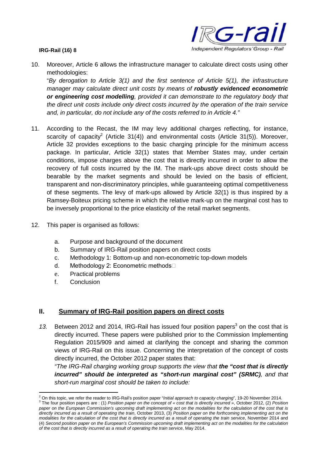

10. Moreover, Article 6 allows the infrastructure manager to calculate direct costs using other methodologies:

"*By derogation to Article 3(1) and the first sentence of Article 5(1), the infrastructure manager may calculate direct unit costs by means of robustly evidenced econometric or engineering cost modelling, provided it can demonstrate to the regulatory body that the direct unit costs include only direct costs incurred by the operation of the train service and, in particular, do not include any of the costs referred to in Article 4."*

- 11. According to the Recast, the IM may levy additional charges reflecting, for instance, scarcity of capacity<sup>2</sup> (Article 31(4)) and environmental costs (Article 31(5)). Moreover, Article 32 provides exceptions to the basic charging principle for the minimum access package. In particular, Article 32(1) states that Member States may, under certain conditions, impose charges above the cost that is directly incurred in order to allow the recovery of full costs incurred by the IM. The mark-ups above direct costs should be bearable by the market segments and should be levied on the basis of efficient, transparent and non-discriminatory principles, while guaranteeing optimal competitiveness of these segments. The levy of mark-ups allowed by Article 32(1) is thus inspired by a Ramsey-Boiteux pricing scheme in which the relative mark-up on the marginal cost has to be inversely proportional to the price elasticity of the retail market segments.
- 12. This paper is organised as follows:
	- a. Purpose and background of the document
	- b. Summary of IRG-Rail position papers on direct costs
	- c. Methodology 1: Bottom-up and non-econometric top-down models
	- d. Methodology 2: Econometric methods□
	- e. Practical problems
	- f. Conclusion

## **II. Summary of IRG-Rail position papers on direct costs**

13. Between 2012 and 2014, IRG-Rail has issued four position papers<sup>3</sup> on the cost that is directly incurred. These papers were published prior to the Commission Implementing Regulation 2015/909 and aimed at clarifying the concept and sharing the common views of IRG-Rail on this issue. Concerning the interpretation of the concept of costs directly incurred, the October 2012 paper states that:

*"The IRG-Rail charging working group supports the view that the "cost that is directly incurred" should be interpreted as "short-run marginal cost" (SRMC), and that short-run marginal cost should be taken to include:*

<sup>2</sup> On this topic, we refer the reader to IRG-Rail's position paper "*Initial approach to capacity charging*", 19-20 November 2014. 3 The four position papers are : (1) *Position paper on the concept of « cost that is directly incurred »*, October 2012, (2) *Position paper on the European Commission's upcoming draft implementing act on the modalities for the calculation of the cost that is directly incurred as a result of operating the train*, October 2013, (3) *Position paper on the forthcoming implementing act on the modalities for the calculation of the cost that is directly incurred as a result of operating the train service*, November 2014 and (4) *Second position paper on the European's Commission upcoming draft implementing act on the modalities for the calculation of the cost that is directly incurred as a result of operating the train service*, May 2014.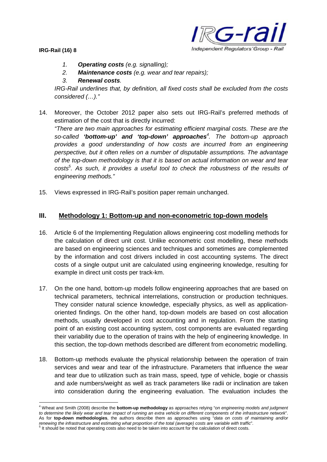--ra Independent Regulators' Group - Rail

**IRG-Rail (16) 8**

- *1. Operating costs (e.g. signalling);*
- *2. Maintenance costs (e.g. wear and tear repairs);*

## *3. Renewal costs.*

*IRG-Rail underlines that, by definition, all fixed costs shall be excluded from the costs considered (…)."*

14. Moreover, the October 2012 paper also sets out IRG-Rail's preferred methods of estimation of the cost that is directly incurred:

*"There are two main approaches for estimating efficient marginal costs. These are the so-called 'bottom-up' and 'top-down' approaches<sup>4</sup> . The bottom-up approach provides a good understanding of how costs are incurred from an engineering perspective, but it often relies on a number of disputable assumptions. The advantage of the top-down methodology is that it is based on actual information on wear and tear costs<sup>5</sup> . As such, it provides a useful tool to check the robustness of the results of engineering methods."*

15. Views expressed in IRG-Rail's position paper remain unchanged.

### **III. Methodology 1: Bottom-up and non-econometric top-down models**

- 16. Article 6 of the Implementing Regulation allows engineering cost modelling methods for the calculation of direct unit cost. Unlike econometric cost modelling, these methods are based on engineering sciences and techniques and sometimes are complemented by the information and cost drivers included in cost accounting systems. The direct costs of a single output unit are calculated using engineering knowledge, resulting for example in direct unit costs per track-km.
- 17. On the one hand, bottom-up models follow engineering approaches that are based on technical parameters, technical interrelations, construction or production techniques. They consider natural science knowledge, especially physics, as well as applicationoriented findings. On the other hand, top-down models are based on cost allocation methods, usually developed in cost accounting and in regulation. From the starting point of an existing cost accounting system, cost components are evaluated regarding their variability due to the operation of trains with the help of engineering knowledge. In this section, the top-down methods described are different from econometric modelling.
- 18. Bottom-up methods evaluate the physical relationship between the operation of train services and wear and tear of the infrastructure. Parameters that influence the wear and tear due to utilization such as train mass, speed, type of vehicle, bogie or chassis and axle numbers/weight as well as track parameters like radii or inclination are taken into consideration during the engineering evaluation. The evaluation includes the

<sup>4</sup> Wheat and Smith (2008) describe the **bottom-up methodology** as approaches relying "*on engineering models and judgment to determine the likely wear and tear impact of running an extra vehicle on different components of the infrastructure network*". As for **top-down methodologies**, the authors describe them as approaches using "*data on costs of maintaining and/or renewing the infrastructure and estimating what proportion of the total (average) costs are variable with traffic*".

<sup>&</sup>lt;sup>5</sup> It should be noted that operating costs also need to be taken into account for the calculation of direct costs.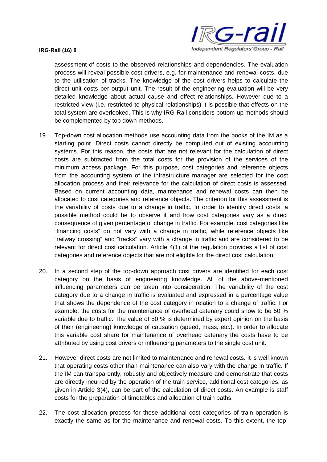

assessment of costs to the observed relationships and dependencies. The evaluation process will reveal possible cost drivers, e.g. for maintenance and renewal costs, due to the utilisation of tracks. The knowledge of the cost drivers helps to calculate the direct unit costs per output unit. The result of the engineering evaluation will be very detailed knowledge about actual cause and effect relationships. However due to a restricted view (i.e. restricted to physical relationships) it is possible that effects on the total system are overlooked. This is why IRG-Rail considers bottom-up methods should be complemented by top down methods.

- 19. Top-down cost allocation methods use accounting data from the books of the IM as a starting point. Direct costs cannot directly be computed out of existing accounting systems. For this reason, the costs that are not relevant for the calculation of direct costs are subtracted from the total costs for the provision of the services of the minimum access package. For this purpose, cost categories and reference objects from the accounting system of the infrastructure manager are selected for the cost allocation process and their relevance for the calculation of direct costs is assessed. Based on current accounting data, maintenance and renewal costs can then be allocated to cost categories and reference objects**.** The criterion for this assessment is the variability of costs due to a change in traffic. In order to identify direct costs, a possible method could be to observe if and how cost categories vary as a direct consequence of given percentage of change in traffic. For example, cost categories like "financing costs" do not vary with a change in traffic, while reference objects like "railway crossing" and "tracks" vary with a change in traffic and are considered to be relevant for direct cost calculation. Article 4(1) of the regulation provides a list of cost categories and reference objects that are not eligible for the direct cost calculation.
- 20. In a second step of the top-down approach cost drivers are identified for each cost category on the basis of engineering knowledge. All of the above-mentioned influencing parameters can be taken into consideration. The variability of the cost category due to a change in traffic is evaluated and expressed in a percentage value that shows the dependence of the cost category in relation to a change of traffic. For example, the costs for the maintenance of overhead catenary could show to be 50 % variable due to traffic. The value of 50 % is determined by expert opinion on the basis of their (engineering) knowledge of causation (speed, mass, etc.). In order to allocate this variable cost share for maintenance of overhead catenary the costs have to be attributed by using cost drivers or influencing parameters to the single cost unit.
- 21. However direct costs are not limited to maintenance and renewal costs. It is well known that operating costs other than maintenance can also vary with the change in traffic. If the IM can transparently, robustly and objectively measure and demonstrate that costs are directly incurred by the operation of the train service, additional cost categories, as given in Article 3(4), can be part of the calculation of direct costs. An example is staff costs for the preparation of timetables and allocation of train paths.
- 22. The cost allocation process for these additional cost categories of train operation is exactly the same as for the maintenance and renewal costs. To this extent, the top-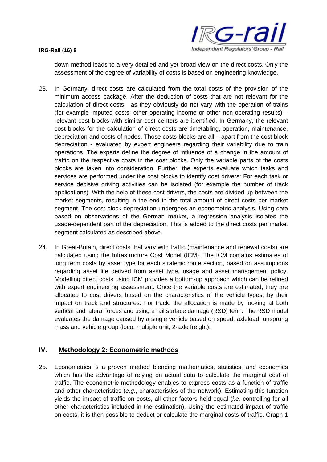

down method leads to a very detailed and yet broad view on the direct costs. Only the assessment of the degree of variability of costs is based on engineering knowledge.

- 23. In Germany, direct costs are calculated from the total costs of the provision of the minimum access package. After the deduction of costs that are not relevant for the calculation of direct costs - as they obviously do not vary with the operation of trains (for example imputed costs, other operating income or other non-operating results) – relevant cost blocks with similar cost centers are identified. In Germany, the relevant cost blocks for the calculation of direct costs are timetabling, operation, maintenance, depreciation and costs of nodes. Those costs blocks are all – apart from the cost block depreciation - evaluated by expert engineers regarding their variability due to train operations. The experts define the degree of influence of a change in the amount of traffic on the respective costs in the cost blocks. Only the variable parts of the costs blocks are taken into consideration. Further, the experts evaluate which tasks and services are performed under the cost blocks to identify cost drivers: For each task or service decisive driving activities can be isolated (for example the number of track applications). With the help of these cost drivers, the costs are divided up between the market segments, resulting in the end in the total amount of direct costs per market segment. The cost block depreciation undergoes an econometric analysis. Using data based on observations of the German market, a regression analysis isolates the usage-dependent part of the depreciation. This is added to the direct costs per market segment calculated as described above.
- 24. In Great-Britain, direct costs that vary with traffic (maintenance and renewal costs) are calculated using the Infrastructure Cost Model (ICM). The ICM contains estimates of long term costs by asset type for each strategic route section, based on assumptions regarding asset life derived from asset type, usage and asset management policy. Modelling direct costs using ICM provides a bottom-up approach which can be refined with expert engineering assessment. Once the variable costs are estimated, they are allocated to cost drivers based on the characteristics of the vehicle types, by their impact on track and structures. For track, the allocation is made by looking at both vertical and lateral forces and using a rail surface damage (RSD) term. The RSD model evaluates the damage caused by a single vehicle based on speed, axleload, unsprung mass and vehicle group (loco, multiple unit, 2-axle freight).

# **IV. Methodology 2: Econometric methods**

25. Econometrics is a proven method blending mathematics, statistics, and economics which has the advantage of relying on actual data to calculate the marginal cost of traffic. The econometric methodology enables to express costs as a function of traffic and other characteristics (*e.g.*, characteristics of the network). Estimating this function yields the impact of traffic on costs, all other factors held equal (*i.e.* controlling for all other characteristics included in the estimation). Using the estimated impact of traffic on costs, it is then possible to deduct or calculate the marginal costs of traffic. Graph 1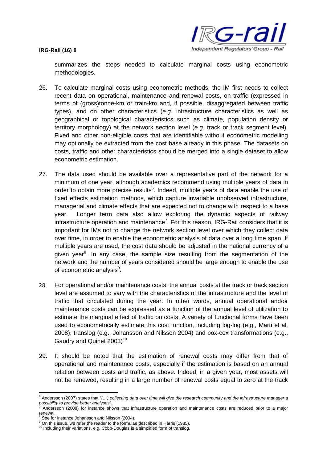

summarizes the steps needed to calculate marginal costs using econometric methodologies.

- 26. To calculate marginal costs using econometric methods, the IM first needs to collect recent data on operational, maintenance and renewal costs, on traffic (expressed in terms of (gross)tonne-km or train-km and, if possible, disaggregated between traffic types), and on other characteristics (*e.g.* infrastructure characteristics as well as geographical or topological characteristics such as climate, population density or territory morphology) at the network section level (*e.g.* track or track segment level). Fixed and other non-eligible costs that are identifiable without econometric modelling may optionally be extracted from the cost base already in this phase. The datasets on costs, traffic and other characteristics should be merged into a single dataset to allow econometric estimation.
- 27. The data used should be available over a representative part of the network for a minimum of one year, although academics recommend using multiple years of data in order to obtain more precise results<sup>6</sup>. Indeed, multiple years of data enable the use of fixed effects estimation methods, which capture invariable unobserved infrastructure, managerial and climate effects that are expected not to change with respect to a base year. Longer term data also allow exploring the dynamic aspects of railway infrastructure operation and maintenance<sup>7</sup>. For this reason, IRG-Rail considers that it is important for IMs not to change the network section level over which they collect data over time, in order to enable the econometric analysis of data over a long time span. If multiple years are used, the cost data should be adjusted in the national currency of a given year<sup>8</sup>. In any case, the sample size resulting from the segmentation of the network and the number of years considered should be large enough to enable the use of econometric analysis<sup>9</sup>.
- 28. For operational and/or maintenance costs, the annual costs at the track or track section level are assumed to vary with the characteristics of the infrastructure and the level of traffic that circulated during the year. In other words, annual operational and/or maintenance costs can be expressed as a function of the annual level of utilization to estimate the marginal effect of traffic on costs. A variety of functional forms have been used to econometrically estimate this cost function, including log-log (e.g., Marti et al. 2008), translog (e.g., Johansson and Nilsson 2004) and box-cox transformations (e.g., Gaudry and Quinet 2003)<sup>10</sup>
- 29. It should be noted that the estimation of renewal costs may differ from that of operational and maintenance costs, especially if the estimation is based on an annual relation between costs and traffic, as above. Indeed, in a given year, most assets will not be renewed, resulting in a large number of renewal costs equal to zero at the track

<sup>6</sup> Andersson (2007) states that *"(…) collecting data over time will give the research community and the infrastructure manager a possibility to provide better analyses*".

<sup>7</sup> Andersson (2008) for instance shows that infrastructure operation and maintenance costs are reduced prior to a major renewal.

<sup>&</sup>lt;sup>8</sup> See for instance Johansson and Nilsson (2004).

<sup>9</sup> On this issue, we refer the reader to the formulae described in Harris (1985).

 $10$  Including their variations, e.g. Cobb-Douglas is a simplified form of translog.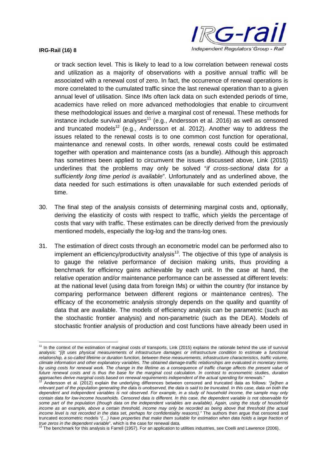

or track section level. This is likely to lead to a low correlation between renewal costs and utilization as a majority of observations with a positive annual traffic will be associated with a renewal cost of zero. In fact, the occurrence of renewal operations is more correlated to the cumulated traffic since the last renewal operation than to a given annual level of utilisation. Since IMs often lack data on such extended periods of time, academics have relied on more advanced methodologies that enable to circumvent these methodological issues and derive a marginal cost of renewal. These methods for instance include survival analyses<sup>11</sup> (e.g., Andersson et al. 2016) as well as censored and truncated models<sup>12</sup> (e.g., Andersson et al. 2012). Another way to address the issues related to the renewal costs is to one common cost function for operational, maintenance and renewal costs. In other words, renewal costs could be estimated together with operation and maintenance costs (as a bundle). Although this approach has sometimes been applied to circumvent the issues discussed above, Link (2015) underlines that the problems may only be solved "*if cross-sectional data for a sufficiently long time period is available*". Unfortunately and as underlined above, the data needed for such estimations is often unavailable for such extended periods of time.

- 30. The final step of the analysis consists of determining marginal costs and, optionally, deriving the elasticity of costs with respect to traffic, which yields the percentage of costs that vary with traffic. These estimates can be directly derived from the previously mentioned models, especially the log-log and the trans-log ones.
- 31. The estimation of direct costs through an econometric model can be performed also to implement an efficiency/productivity analysis<sup>13</sup>. The objective of this type of analysis is to gauge the relative performance of decision making units, thus providing a benchmark for efficiency gains achievable by each unit. In the case at hand, the relative operation and/or maintenance performance can be assessed at different levels: at the national level (using data from foreign IMs) or within the country (for instance by comparing performance between different regions or maintenance centres). The efficacy of the econometric analysis strongly depends on the quality and quantity of data that are available. The models of efficiency analysis can be parametric (such as the stochastic frontier analysis) and non-parametric (such as the DEA). Models of stochastic frontier analysis of production and cost functions have already been used in

<sup>&</sup>lt;sup>11</sup> In the context of the estimation of marginal costs of transports, Link (2015) explains the rationale behind the use of survival analysis: "*[i]t uses physical measurements of infrastructure damages or infrastructure condition to estimate a functional relationship, a so-called lifetime or duration function, between these measurements, infrastructure characteristics, traffic volume, climate information and other explanatory variables. The obtained damage-traffic relationships are evaluated in monetary terms by using costs for renewal work. The change in the lifetime as a consequence of traffic change affects the present value of future renewal costs and is thus the base for the marginal cost calculation. In contrast to econometric studies, duration approaches derive marginal costs based on renewal requirements independent of the actual spending for renewals*."

<sup>12</sup> Andersson et al. (2012) explain the underlying differences between censored and truncated data as follows: "*[w]hen a relevant part of the population generating the data is unobserved, the data is said to be truncated. In this case, data on both the dependent and independent variables is not observed. For example, in a study of household income, the sample may only contain data for low-income households. Censored data is different. In this case, the dependent variable is not observable for some part of the population (though data on the independent variables are available). Again, using the study of household income as an example, above a certain threshold, income may only be recorded as being above that threshold (the actual income level is not recorded in the data set, perhaps for confidentiality reasons)."* The authors then argue that censored and truncated econometric models "*(…) have properties that make them suitable for estimation when data holds a large fraction of true zeros in the dependent variable*", which is the case for renewal data.

<sup>&</sup>lt;sup>3</sup> The benchmark for this analysis is Farrell (1957). For an application to utilities industries, see Coelli and Lawrence (2006).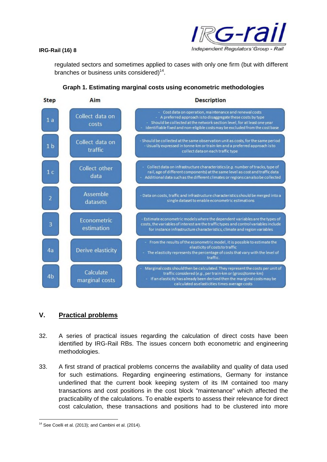

regulated sectors and sometimes applied to cases with only one firm (but with different branches or business units considered) $<sup>14</sup>$ .</sup>



## **Graph 1. Estimating marginal costs using econometric methodologies**

# **V. Practical problems**

- 32. A series of practical issues regarding the calculation of direct costs have been identified by IRG-Rail RBs. The issues concern both econometric and engineering methodologies.
- 33. A first strand of practical problems concerns the availability and quality of data used for such estimations. Regarding engineering estimations, Germany for instance underlined that the current book keeping system of its IM contained too many transactions and cost positions in the cost block "maintenance" which affected the practicability of the calculations. To enable experts to assess their relevance for direct cost calculation, these transactions and positions had to be clustered into more

<sup>&</sup>lt;sup>14</sup> See Coelli et al. (2013); and Cambini et al. (2014).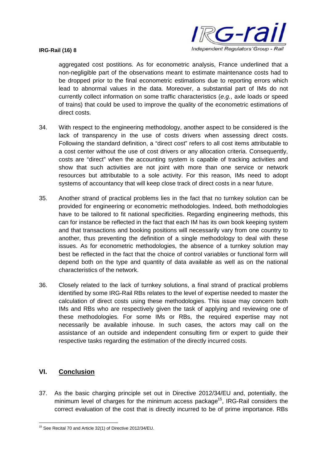

aggregated cost postitions. As for econometric analysis, France underlined that a non-negligible part of the observations meant to estimate maintenance costs had to be dropped prior to the final econometric estimations due to reporting errors which lead to abnormal values in the data. Moreover, a substantial part of IMs do not currently collect information on some traffic characteristics (*e.g.*, axle loads or speed of trains) that could be used to improve the quality of the econometric estimations of direct costs.

- 34. With respect to the engineering methodology, another aspect to be considered is the lack of transparency in the use of costs drivers when assessing direct costs. Following the standard definition, a "direct cost" refers to all cost items attributable to a cost center without the use of cost drivers or any allocation criteria. Consequently, costs are "direct" when the accounting system is capable of tracking activities and show that such activities are not joint with more than one service or network resources but attributable to a sole activity. For this reason, IMs need to adopt systems of accountancy that will keep close track of direct costs in a near future.
- 35. Another strand of practical problems lies in the fact that no turnkey solution can be provided for engineering or econometric methodologies. Indeed, both methodologies have to be tailored to fit national specificities. Regarding engineering methods, this can for instance be reflected in the fact that each IM has its own book keeping system and that transactions and booking positions will necessarily vary from one country to another, thus preventing the definition of a single methodology to deal with these issues. As for econometric methodologies, the absence of a turnkey solution may best be reflected in the fact that the choice of control variables or functional form will depend both on the type and quantity of data available as well as on the national characteristics of the network.
- 36. Closely related to the lack of turnkey solutions, a final strand of practical problems identified by some IRG-Rail RBs relates to the level of expertise needed to master the calculation of direct costs using these methodologies. This issue may concern both IMs and RBs who are respectively given the task of applying and reviewing one of these methodologies. For some IMs or RBs, the required expertise may not necessarily be available inhouse. In such cases, the actors may call on the assistance of an outside and independent consulting firm or expert to guide their respective tasks regarding the estimation of the directly incurred costs.

# **VI. Conclusion**

37. As the basic charging principle set out in Directive 2012/34/EU and, potentially, the minimum level of charges for the minimum access package<sup>15</sup>. IRG-Rail considers the correct evaluation of the cost that is directly incurred to be of prime importance. RBs

<sup>15</sup> See Recital 70 and Article 32(1) of Directive 2012/34/EU.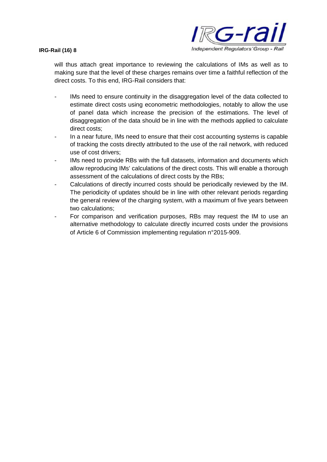

will thus attach great importance to reviewing the calculations of IMs as well as to making sure that the level of these charges remains over time a faithful reflection of the direct costs. To this end, IRG-Rail considers that:

- IMs need to ensure continuity in the disaggregation level of the data collected to estimate direct costs using econometric methodologies, notably to allow the use of panel data which increase the precision of the estimations. The level of disaggregation of the data should be in line with the methods applied to calculate direct costs;
- In a near future, IMs need to ensure that their cost accounting systems is capable of tracking the costs directly attributed to the use of the rail network, with reduced use of cost drivers;
- IMs need to provide RBs with the full datasets, information and documents which allow reproducing IMs' calculations of the direct costs. This will enable a thorough assessment of the calculations of direct costs by the RBs;
- Calculations of directly incurred costs should be periodically reviewed by the IM. The periodicity of updates should be in line with other relevant periods regarding the general review of the charging system, with a maximum of five years between two calculations;
- For comparison and verification purposes, RBs may request the IM to use an alternative methodology to calculate directly incurred costs under the provisions of Article 6 of Commission implementing regulation n°2015-909.